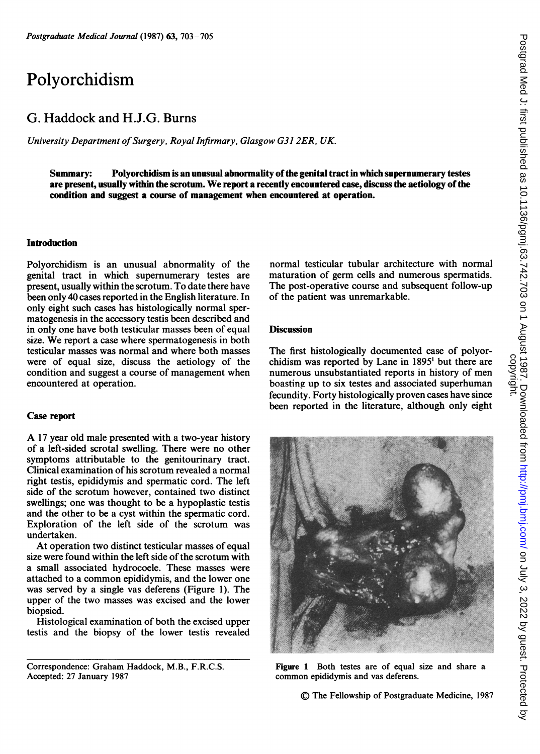# Polyorchidism

## G. Haddock and H.J.G. Burns

University Department of Surgery, Royal Infirmary, Glasgow G31 2ER, UK.

Summary: Polyorchidism is an unusual abnormality ofthe genital tract in which supernumerary testes are present, usually within the scrotum. We report <sup>a</sup> recently encountered case, discuss the aetiology ofthe condition and suggest a course of management when encountered at operation.

#### Introduction

Polyorchidism is an unusual abnormality of the genital tract in which supernumerary testes are present, usually within the scrotum. To date there have been only 40 cases reported in the English literature. In only eight such cases has histologically normal spermatogenesis in the accessory testis been described and in only one have both testicular masses been of equal size. We report <sup>a</sup> case where spermatogenesis in both testicular masses was normal and where both masses were of equal size, discuss the aetiology of the condition and suggest a course of management when encountered at operation.

#### Case report

A <sup>17</sup> year old male presented with <sup>a</sup> two-year history of a left-sided scrotal swelling. There were no other symptoms attributable to the genitourinary tract. Clinical examination of his scrotum revealed a normal right testis, epididymis and spermatic cord. The left side of the scrotum however, contained two distinct swellings; one was thought to be a hypoplastic testis and the other to be a cyst within the spermatic cord. Exploration of the left side of the scrotum was undertaken.

At operation two distinct testicular masses of equal size were found within the left side of the scrotum with a small associated hydrocoele. These masses were attached to a common epididymis, and the lower one was served by a single vas deferens (Figure 1). The upper of the two masses was excised and the lower biopsied.

Histological examination of both the excised upper testis and the biopsy of the lower testis revealed

normal testicular tubular architecture with normal maturation of germ cells and numerous spermatids. The post-operative course and subsequent follow-up of the patient was unremarkable.

### **Discussion**

The first histologically documented case of polyorchidism was reported by Lane in 1895' but there are numerous unsubstantiated reports in history of men boasting up to six testes and associated superhuman fecundity. Forty histologically proven cases have since been reported in the literature, although only eight



Figure 1 Both testes are of equal size and share a common epididymis and vas deferens

A) The Fellowship of Postgraduate Medicine, 1987

Correspondence: Graham Haddock, M.B., F.R.C.S. Accepted: 27 January 1987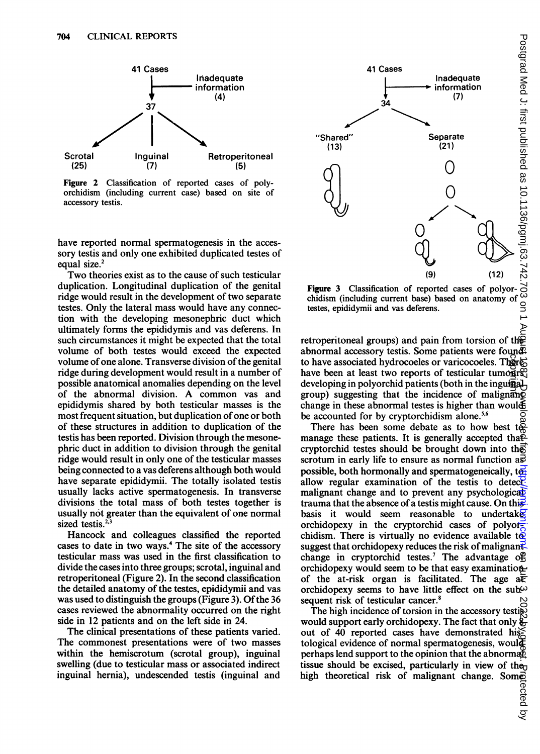

Figure 2 Classification of reported cases of polyorchidism (including current case) based on site of accessory testis.

have reported normal spermatogenesis in the accessory testis and only one exhibited duplicated testes of equal size.<sup>2</sup>

Two theories exist as to the cause of such testicular duplication. Longitudinal duplication of the genital ridge would result in the development of two separate testes. Only the lateral mass would have any connection with the developing mesonephric duct which ultimately forms the epididymis and vas deferens. In such circumstances it might be expected that the total volume of both testes would exceed the expected volume of one alone. Transverse division of the genital ridge during development would result in a number of possible anatomical anomalies depending on the level of the abnormal division. A common vas and epididymis shared by both testicular masses is the most frequent situation, but duplication of one or both of these structures in addition to duplication of the testis has been reported. Division through the mesonephric duct in addition to division through the genital ridge would result in only one of the testicular masses being connected to a vas deferens although both would have separate epididymii. The totally isolated testis usually lacks active spermatogenesis. In transverse divisions the total mass of both testes together is usually not greater than the equivalent of one normal sized testis.<sup>2,3</sup>

Hancock and colleagues classified the reported cases to date in two ways.4 The site of the accessory testicular mass was used in the first classification to divide the cases into three groups; scrotal, inguinal and retroperitoneal (Figure 2). In the second classification the detailed anatomy of the testes, epididymii and vas was used to distinguish the groups (Figure 3). Of the 36 cases reviewed the abnormality occurred on the right side in 12 patients and on the left side in 24.

The clinical presentations of these patients varied. The commonest presentations were of two masses within the hemiscrotum (scrotal group), inguinal swelling (due to testicular mass or associated indirect inguinal hernia), undescended testis (inguinal and



Figure 3 Classification of reported cases of polyorchidism (including current base) based on anatomy of testes, epididymii and vas deferens.

retroperitoneal groups) and pain from torsion of the abnormal accessory testis. Some patients were found? to have associated hydrocoeles or varicocoeles. There have been at least two reports of testicular tumoursely developing in polyorchid patients (both in the inguinal group) suggesting that the incidence of malignant change in these abnormal testes is higher than would be accounted for by cryptorchidism alone.<sup>5,6</sup>

There has been some debate as to how best to manage these patients. It is generally accepted tha $\tilde{P}$ cryptorchid testes should be brought down into the scrotum in early life to ensure as normal function  $a\vec{s}$ possible, both hormonally and spermatogeneically,  $t_{\theta}$ allow regular examination of the testis to detect. malignant change and to prevent any psychological trauma that the absence of a testis might cause. On this. basis it would seem reasonable to undertake orchidopexy in the cryptorchid cases of polyorchidism. There is virtually no evidence available to suggest that orchidopexy reduces the risk of malignant change in cryptorchid testes.<sup>7</sup> The advantage of orchidopexy would seem to be that easy examination of the at-risk organ is facilitated. The age  $a\overline{b}$ orchidopexy seems to have little effect on the subsequent risk of testicular cancer.<sup>8</sup>

The high incidence of torsion in the accessory testis would support early orchidopexy. The fact that only 8 out of 40 reported cases have demonstrated histological evidence of normal spermatogenesis, would perhaps lend support to the opinion that the abnormal tissue should be excised, particularly in view of the<sub>p</sub> high theoretical risk of malignant change. Some